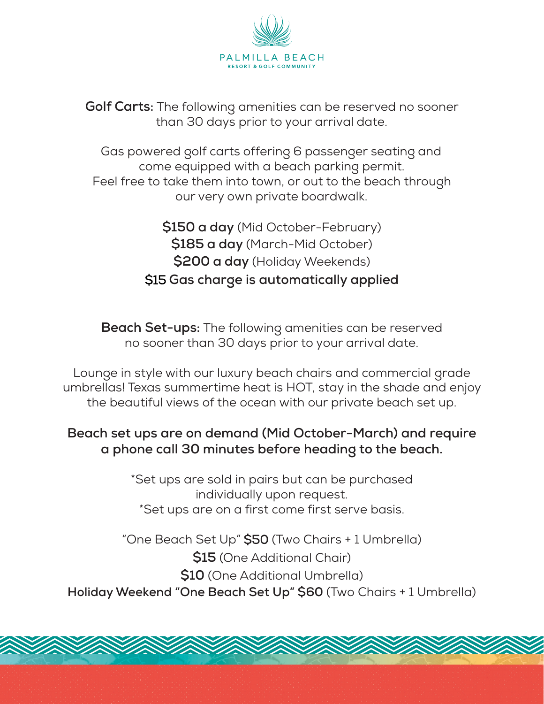

**Golf Carts:** The following amenities can be reserved no sooner than 30 days prior to your arrival date.

Gas powered golf carts offering 6 passenger seating and come equipped with a beach parking permit. Feel free to take them into town, or out to the beach through our very own private boardwalk.

> **\$150 a day** (Mid October-February) **\$185 a day** (March-Mid October) **\$200 a day** (Holiday Weekends) \$15 **Gas charge is automatically applied**

**Beach Set-ups:** The following amenities can be reserved no sooner than 30 days prior to your arrival date.

Lounge in style with our luxury beach chairs and commercial grade umbrellas! Texas summertime heat is HOT, stay in the shade and enjoy the beautiful views of the ocean with our private beach set up.

## **Beach set ups are on demand (Mid October-March) and require a phone call 30 minutes before heading to the beach.**

\*Set ups are sold in pairs but can be purchased individually upon request. \*Set ups are on a first come first serve basis.

"One Beach Set Up" \$50 (Two Chairs + 1 Umbrella) **\$15** (One Additional Chair) **\$10** (One Additional Umbrella) **Holiday Weekend "One Beach Set Up" \$60** (Two Chairs + 1 Umbrella)

A SAMA SAMA SAMA SAMA